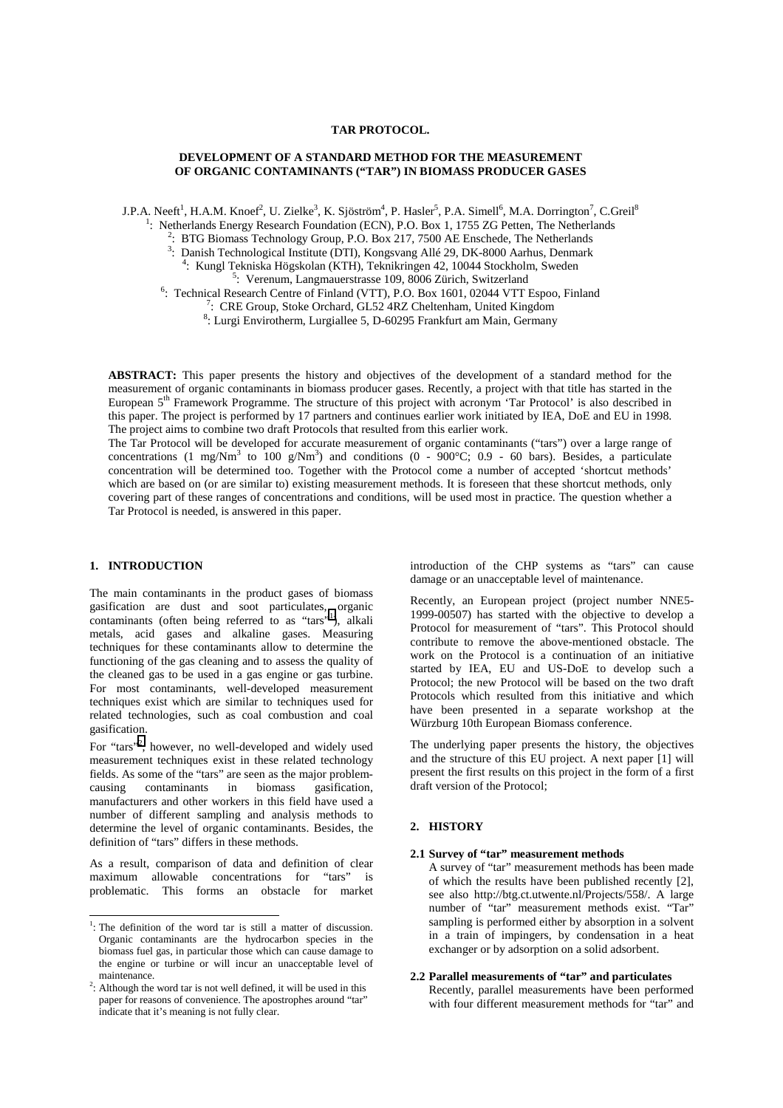### **TAR PROTOCOL.**

### **DEVELOPMENT OF A STANDARD METHOD FOR THE MEASUREMENT OF ORGANIC CONTAMINANTS ("TAR") IN BIOMASS PRODUCER GASES**

J.P.A. Neeft<sup>1</sup>, H.A.M. Knoef<sup>2</sup>, U. Zielke<sup>3</sup>, K. Sjöström<sup>4</sup>, P. Hasler<sup>5</sup>, P.A. Simell<sup>6</sup>, M.A. Dorrington<sup>7</sup>, C.Greil<sup>8</sup>

<sup>1</sup>: Netherlands Energy Research Foundation (ECN), P.O. Box 1, 1755 ZG Petten, The Netherlands

<sup>2</sup>: BTG Biomass Technology Group, P.O. Box 217, 7500 AE Enschede, The Netherlands

<sup>3</sup>: Danish Technological Institute (DTI), Kongsvang Allé 29, DK-8000 Aarhus, Denmark  $\frac{4}{1}$ . Kungl Tekniske Hörskolog (KTH), Teknikringen 42, 10044 Steekhelm, Stueden <sup>4</sup>: Kungl Tekniska Högskolan (KTH), Teknikringen 42, 10044 Stockholm, Sweden <sup>5</sup>: Verenum, Langmauerstrasse 109, 8006 Zürich, Switzerland

<sup>6</sup>: Technical Research Centre of Finland (VTT), P.O. Box 1601, 02044 VTT Espoo, Finland

<sup>7</sup>: CRE Group, Stoke Orchard, GL52 4RZ Cheltenham, United Kingdom

8 : Lurgi Envirotherm, Lurgiallee 5, D-60295 Frankfurt am Main, Germany

**ABSTRACT:** This paper presents the history and objectives of the development of a standard method for the measurement of organic contaminants in biomass producer gases. Recently, a project with that title has started in the European 5th Framework Programme. The structure of this project with acronym 'Tar Protocol' is also described in this paper. The project is performed by 17 partners and continues earlier work initiated by IEA, DoE and EU in 1998. The project aims to combine two draft Protocols that resulted from this earlier work.

The Tar Protocol will be developed for accurate measurement of organic contaminants ("tars") over a large range of concentrations (1 mg/Nm<sup>3</sup> to 100 g/Nm<sup>3</sup>) and conditions (0 - 900°C; 0.9 - 60 bars). Besides, a particulate concentration will be determined too. Together with the Protocol come a number of accepted 'shortcut methods' which are based on (or are similar to) existing measurement methods. It is foreseen that these shortcut methods, only covering part of these ranges of concentrations and conditions, will be used most in practice. The question whether a Tar Protocol is needed, is answered in this paper.

# **1. INTRODUCTION**

The main contaminants in the product gases of biomass gasification are dust and soot particulates, organic contaminants (often being referred to as "tars"<sup>1</sup>), alkali metals, acid gases and alkaline gases. Measuring techniques for these contaminants allow to determine the functioning of the gas cleaning and to assess the quality of the cleaned gas to be used in a gas engine or gas turbine. For most contaminants, well-developed measurement techniques exist which are similar to techniques used for related technologies, such as coal combustion and coal gasification.

For "tars"<sup>2</sup>, however, no well-developed and widely used measurement techniques exist in these related technology fields. As some of the "tars" are seen as the major problemcausing contaminants in biomass gasification, manufacturers and other workers in this field have used a number of different sampling and analysis methods to determine the level of organic contaminants. Besides, the definition of "tars" differs in these methods.

As a result, comparison of data and definition of clear maximum allowable concentrations for "tars" is problematic. This forms an obstacle for market introduction of the CHP systems as "tars" can cause damage or an unacceptable level of maintenance.

Recently, an European project (project number NNE5- 1999-00507) has started with the objective to develop a Protocol for measurement of "tars". This Protocol should contribute to remove the above-mentioned obstacle. The work on the Protocol is a continuation of an initiative started by IEA, EU and US-DoE to develop such a Protocol; the new Protocol will be based on the two draft Protocols which resulted from this initiative and which have been presented in a separate workshop at the Würzburg 10th European Biomass conference.

The underlying paper presents the history, the objectives and the structure of this EU project. A next paper [1] will present the first results on this project in the form of a first draft version of the Protocol;

# **2. HISTORY**

#### **2.1 Survey of "tar" measurement methods**

A survey of "tar" measurement methods has been made of which the results have been published recently [2], see also http://btg.ct.utwente.nl/Projects/558/. A large number of "tar" measurement methods exist. "Tar" sampling is performed either by absorption in a solvent in a train of impingers, by condensation in a heat exchanger or by adsorption on a solid adsorbent.

### **2.2 Parallel measurements of "tar" and particulates**

Recently, parallel measurements have been performed with four different measurement methods for "tar" and

<sup>&</sup>lt;sup>1</sup>: The definition of the word tar is still a matter of discussion. Organic contaminants are the hydrocarbon species in the biomass fuel gas, in particular those which can cause damage to the engine or turbine or will incur an unacceptable level of maintenance.<br><sup>2</sup>: Although the word tar is not well defined, it will be used in this

paper for reasons of convenience. The apostrophes around "tar" indicate that it's meaning is not fully clear.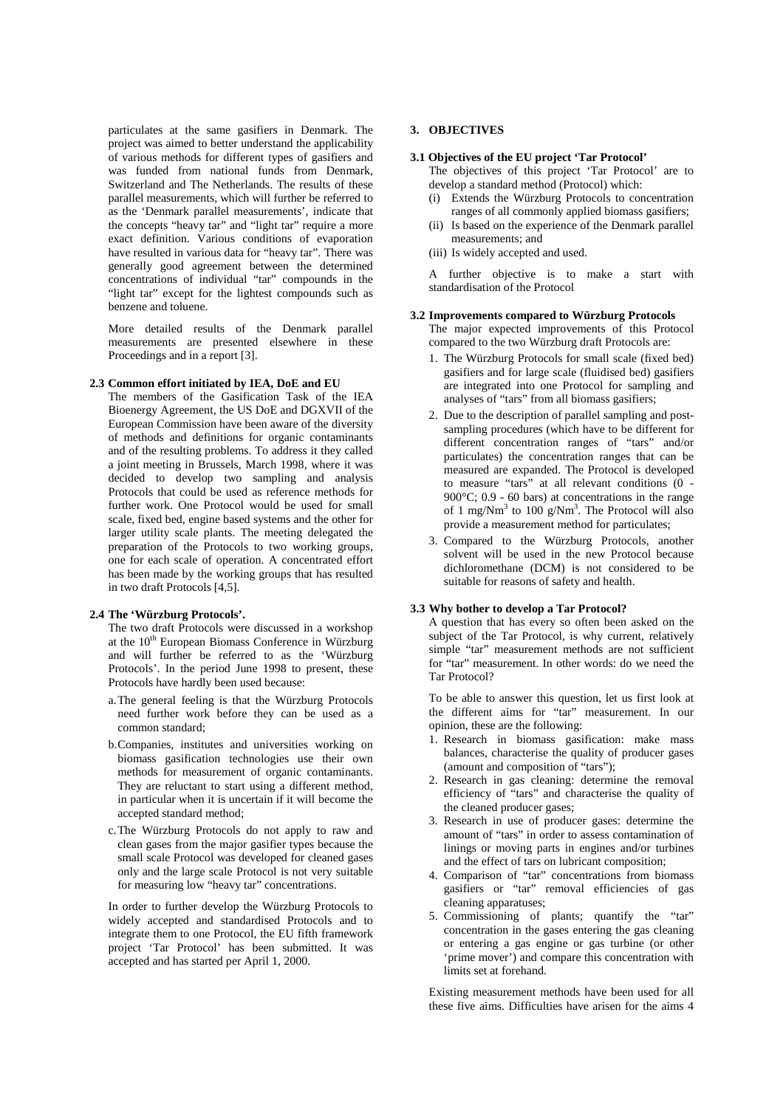particulates at the same gasifiers in Denmark. The project was aimed to better understand the applicability of various methods for different types of gasifiers and was funded from national funds from Denmark, Switzerland and The Netherlands. The results of these parallel measurements, which will further be referred to as the 'Denmark parallel measurements', indicate that the concepts "heavy tar" and "light tar" require a more exact definition. Various conditions of evaporation have resulted in various data for "heavy tar". There was generally good agreement between the determined concentrations of individual "tar" compounds in the "light tar" except for the lightest compounds such as benzene and toluene.

More detailed results of the Denmark parallel measurements are presented elsewhere in these Proceedings and in a report [3].

### **2.3 Common effort initiated by IEA, DoE and EU**

The members of the Gasification Task of the IEA Bioenergy Agreement, the US DoE and DGXVII of the European Commission have been aware of the diversity of methods and definitions for organic contaminants and of the resulting problems. To address it they called a joint meeting in Brussels, March 1998, where it was decided to develop two sampling and analysis Protocols that could be used as reference methods for further work. One Protocol would be used for small scale, fixed bed, engine based systems and the other for larger utility scale plants. The meeting delegated the preparation of the Protocols to two working groups, one for each scale of operation. A concentrated effort has been made by the working groups that has resulted in two draft Protocols [4,5].

## **2.4 The 'Würzburg Protocols'.**

The two draft Protocols were discussed in a workshop at the  $10^{th}$  European Biomass Conference in Würzburg and will further be referred to as the 'Würzburg Protocols'. In the period June 1998 to present, these Protocols have hardly been used because:

- a.The general feeling is that the Würzburg Protocols need further work before they can be used as a common standard;
- b.Companies, institutes and universities working on biomass gasification technologies use their own methods for measurement of organic contaminants. They are reluctant to start using a different method, in particular when it is uncertain if it will become the accepted standard method;
- c.The Würzburg Protocols do not apply to raw and clean gases from the major gasifier types because the small scale Protocol was developed for cleaned gases only and the large scale Protocol is not very suitable for measuring low "heavy tar" concentrations.

In order to further develop the Würzburg Protocols to widely accepted and standardised Protocols and to integrate them to one Protocol, the EU fifth framework project 'Tar Protocol' has been submitted. It was accepted and has started per April 1, 2000.

# **3. OBJECTIVES**

### **3.1 Objectives of the EU project 'Tar Protocol'**

The objectives of this project 'Tar Protocol' are to develop a standard method (Protocol) which:

- (i) Extends the Würzburg Protocols to concentration ranges of all commonly applied biomass gasifiers;
- (ii) Is based on the experience of the Denmark parallel measurements; and
- (iii) Is widely accepted and used.

A further objective is to make a start with standardisation of the Protocol

#### **3.2 Improvements compared to Würzburg Protocols**

The major expected improvements of this Protocol compared to the two Würzburg draft Protocols are:

- 1. The Würzburg Protocols for small scale (fixed bed) gasifiers and for large scale (fluidised bed) gasifiers are integrated into one Protocol for sampling and analyses of "tars" from all biomass gasifiers;
- 2. Due to the description of parallel sampling and postsampling procedures (which have to be different for different concentration ranges of "tars" and/or particulates) the concentration ranges that can be measured are expanded. The Protocol is developed to measure "tars" at all relevant conditions (0 - 900°C; 0.9 - 60 bars) at concentrations in the range of 1 mg/Nm<sup>3</sup> to 100 g/Nm<sup>3</sup>. The Protocol will also provide a measurement method for particulates;
- 3. Compared to the Würzburg Protocols, another solvent will be used in the new Protocol because dichloromethane (DCM) is not considered to be suitable for reasons of safety and health.

#### **3.3 Why bother to develop a Tar Protocol?**

A question that has every so often been asked on the subject of the Tar Protocol, is why current, relatively simple "tar" measurement methods are not sufficient for "tar" measurement. In other words: do we need the Tar Protocol?

To be able to answer this question, let us first look at the different aims for "tar" measurement. In our opinion, these are the following:

- 1. Research in biomass gasification: make mass balances, characterise the quality of producer gases (amount and composition of "tars");
- 2. Research in gas cleaning: determine the removal efficiency of "tars" and characterise the quality of the cleaned producer gases;
- 3. Research in use of producer gases: determine the amount of "tars" in order to assess contamination of linings or moving parts in engines and/or turbines and the effect of tars on lubricant composition;
- 4. Comparison of "tar" concentrations from biomass gasifiers or "tar" removal efficiencies of gas cleaning apparatuses;
- 5. Commissioning of plants; quantify the "tar" concentration in the gases entering the gas cleaning or entering a gas engine or gas turbine (or other 'prime mover') and compare this concentration with limits set at forehand.

Existing measurement methods have been used for all these five aims. Difficulties have arisen for the aims 4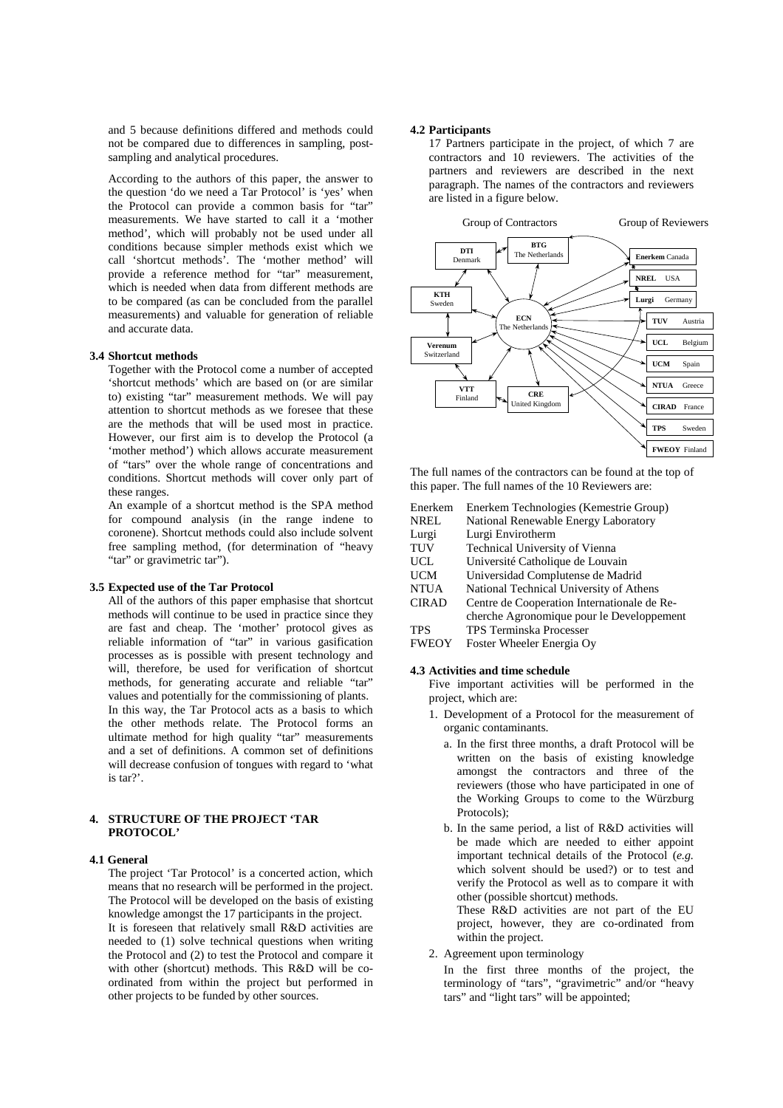and 5 because definitions differed and methods could not be compared due to differences in sampling, postsampling and analytical procedures.

According to the authors of this paper, the answer to the question 'do we need a Tar Protocol' is 'yes' when the Protocol can provide a common basis for "tar" measurements. We have started to call it a 'mother method', which will probably not be used under all conditions because simpler methods exist which we call 'shortcut methods'. The 'mother method' will provide a reference method for "tar" measurement, which is needed when data from different methods are to be compared (as can be concluded from the parallel measurements) and valuable for generation of reliable and accurate data.

## **3.4 Shortcut methods**

Together with the Protocol come a number of accepted 'shortcut methods' which are based on (or are similar to) existing "tar" measurement methods. We will pay attention to shortcut methods as we foresee that these are the methods that will be used most in practice. However, our first aim is to develop the Protocol (a 'mother method') which allows accurate measurement of "tars" over the whole range of concentrations and conditions. Shortcut methods will cover only part of these ranges.

An example of a shortcut method is the SPA method for compound analysis (in the range indene to coronene). Shortcut methods could also include solvent free sampling method, (for determination of "heavy "tar" or gravimetric tar").

### **3.5 Expected use of the Tar Protocol**

All of the authors of this paper emphasise that shortcut methods will continue to be used in practice since they are fast and cheap. The 'mother' protocol gives as reliable information of "tar" in various gasification processes as is possible with present technology and will, therefore, be used for verification of shortcut methods, for generating accurate and reliable "tar" values and potentially for the commissioning of plants. In this way, the Tar Protocol acts as a basis to which the other methods relate. The Protocol forms an ultimate method for high quality "tar" measurements and a set of definitions. A common set of definitions will decrease confusion of tongues with regard to 'what is tar?'.

# **4. STRUCTURE OF THE PROJECT 'TAR PROTOCOL'**

## **4.1 General**

The project 'Tar Protocol' is a concerted action, which means that no research will be performed in the project. The Protocol will be developed on the basis of existing knowledge amongst the 17 participants in the project. It is foreseen that relatively small R&D activities are needed to (1) solve technical questions when writing the Protocol and (2) to test the Protocol and compare it with other (shortcut) methods. This R&D will be coordinated from within the project but performed in other projects to be funded by other sources.

#### **4.2 Participants**

17 Partners participate in the project, of which 7 are contractors and 10 reviewers. The activities of the partners and reviewers are described in the next paragraph. The names of the contractors and reviewers are listed in a figure below.



The full names of the contractors can be found at the top of this paper. The full names of the 10 Reviewers are:

| Enerkem      | Enerkem Technologies (Kemestrie Group)      |
|--------------|---------------------------------------------|
| <b>NREL</b>  | National Renewable Energy Laboratory        |
| Lurgi        | Lurgi Envirotherm                           |
| TUV          | Technical University of Vienna              |
| UCL          | Université Catholique de Louvain            |
| UCM          | Universidad Complutense de Madrid           |
| <b>NTUA</b>  | National Technical University of Athens     |
| <b>CIRAD</b> | Centre de Cooperation Internationale de Re- |
|              | cherche Agronomique pour le Developpement   |
| <b>TPS</b>   | <b>TPS Terminska Processer</b>              |
| <b>FWEOY</b> | Foster Wheeler Energia Ov                   |

# **4.3 Activities and time schedule**

Five important activities will be performed in the project, which are:

- 1. Development of a Protocol for the measurement of organic contaminants.
	- a. In the first three months, a draft Protocol will be written on the basis of existing knowledge amongst the contractors and three of the reviewers (those who have participated in one of the Working Groups to come to the Würzburg Protocols);
	- b. In the same period, a list of R&D activities will be made which are needed to either appoint important technical details of the Protocol (*e.g.* which solvent should be used?) or to test and verify the Protocol as well as to compare it with other (possible shortcut) methods.

These R&D activities are not part of the EU project, however, they are co-ordinated from within the project.

2. Agreement upon terminology

In the first three months of the project, the terminology of "tars", "gravimetric" and/or "heavy tars" and "light tars" will be appointed;